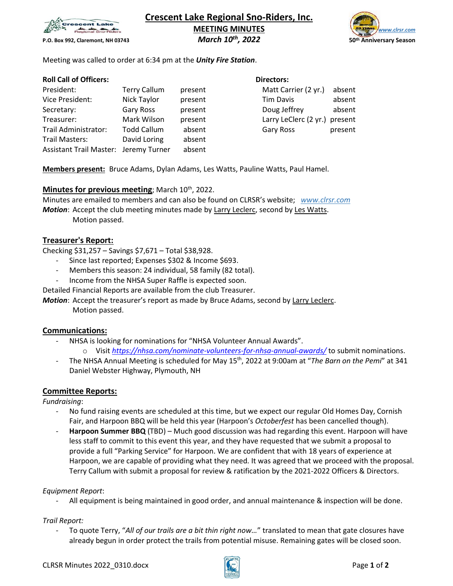

# **Crescent Lake Regional Sno-Riders, Inc. MEETING MINUTES** *www.clrsr.com* **P.O. Box 992, Claremont, NH 03743** *March 10th*



Meeting was called to order at 6:34 pm at the *Unity Fire Station*.

#### **Roll Call of Officers: Directors: Directors: Directors:**

| President:                            | <b>Terry Callum</b> | present | Matt Carrier (2 yr.)          | absent  |
|---------------------------------------|---------------------|---------|-------------------------------|---------|
| Vice President:                       | Nick Taylor         | present | Tim Davis                     | absent  |
| Secretary:                            | Gary Ross           | present | Doug Jeffrey                  | absent  |
| Treasurer:                            | Mark Wilson         | present | Larry LeClerc (2 yr.) present |         |
| Trail Administrator:                  | <b>Todd Callum</b>  | absent  | Gary Ross                     | present |
| Trail Masters:                        | David Loring        | absent  |                               |         |
| Assistant Trail Master: Jeremy Turner |                     | absent  |                               |         |

| DITECLOIS.                    |         |
|-------------------------------|---------|
| Matt Carrier (2 yr.)          | absent  |
| <b>Tim Davis</b>              | absent  |
| Doug Jeffrey                  | absent  |
| Larry LeClerc (2 yr.) present |         |
| <b>Gary Ross</b>              | present |
|                               |         |

**Members present:** Bruce Adams, Dylan Adams, Les Watts, Pauline Watts, Paul Hamel.

## Minutes for previous meeting; March 10<sup>th</sup>, 2022.

Minutes are emailed to members and can also be found on CLRSR's website; *www.clrsr.com*

*Motion*: Accept the club meeting minutes made by Larry Leclerc, second by Les Watts. Motion passed.

### **Treasurer's Report:**

Checking \$31,257 – Savings \$7,671 – Total \$38,928.

- Since last reported; Expenses \$302 & Income \$693.
- Members this season: 24 individual, 58 family (82 total).
- Income from the NHSA Super Raffle is expected soon.

Detailed Financial Reports are available from the club Treasurer.

**Motion:** Accept the treasurer's report as made by Bruce Adams, second by Larry Leclerc.

Motion passed.

### **Communications:**

- NHSA is looking for nominations for "NHSA Volunteer Annual Awards".
	- o Visit *<https://nhsa.com/nominate-volunteers-for-nhsa-annual-awards/>* to submit nominations.
- The NHSA Annual Meeting is scheduled for May 15th , 2022 at 9:00am at "*The Barn on the Pemi*" at 341 Daniel Webster Highway, Plymouth, NH

### **Committee Reports:**

*Fundraising*:

- No fund raising events are scheduled at this time, but we expect our regular Old Homes Day, Cornish Fair, and Harpoon BBQ will be held this year (Harpoon's *Octoberfest* has been cancelled though).
- **Harpoon Summer BBQ** (TBD) Much good discussion was had regarding this event. Harpoon will have less staff to commit to this event this year, and they have requested that we submit a proposal to provide a full "Parking Service" for Harpoon. We are confident that with 18 years of experience at Harpoon, we are capable of providing what they need. It was agreed that we proceed with the proposal. Terry Callum with submit a proposal for review & ratification by the 2021-2022 Officers & Directors.

### *Equipment Report*:

All equipment is being maintained in good order, and annual maintenance & inspection will be done.

### *Trail Report:*

- To quote Terry, "*All of our trails are a bit thin right now…*" translated to mean that gate closures have already begun in order protect the trails from potential misuse. Remaining gates will be closed soon.